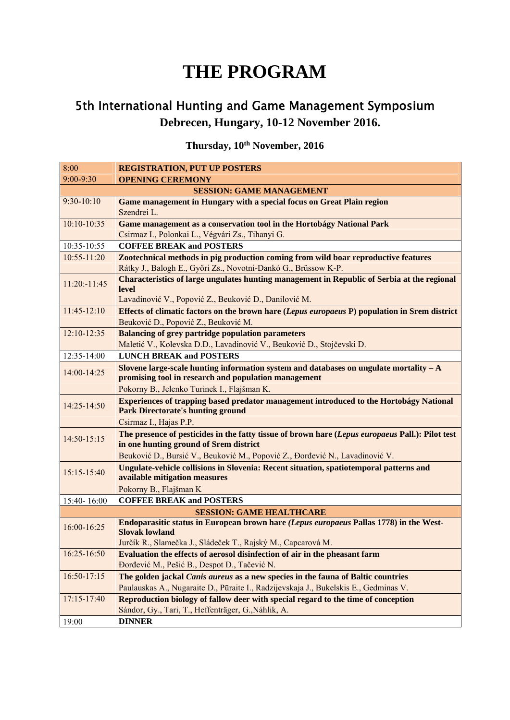## **THE PROGRAM**

## 5th International Hunting and Game Management Symposium **Debrecen, Hungary, 10-12 November 2016.**

## **Thursday, 10th November, 2016**

| 8:00                            | <b>REGISTRATION, PUT UP POSTERS</b>                                                                                                       |
|---------------------------------|-------------------------------------------------------------------------------------------------------------------------------------------|
| $9:00 - 9:30$                   | <b>OPENING CEREMONY</b>                                                                                                                   |
| <b>SESSION: GAME MANAGEMENT</b> |                                                                                                                                           |
| $9:30-10:10$                    | Game management in Hungary with a special focus on Great Plain region                                                                     |
|                                 | Szendrei L.                                                                                                                               |
| $10:10-10:35$                   | Game management as a conservation tool in the Hortobágy National Park                                                                     |
|                                 | Csirmaz I., Polonkai L., Végvári Zs., Tihanyi G.                                                                                          |
| 10:35-10:55                     | <b>COFFEE BREAK and POSTERS</b>                                                                                                           |
| $10:55 - 11:20$                 | Zootechnical methods in pig production coming from wild boar reproductive features                                                        |
|                                 | Rátky J., Balogh E., Győri Zs., Novotni-Dankó G., Brüssow K-P.                                                                            |
| $11:20: -11:45$                 | <b>Characteristics of large ungulates hunting management in Republic of Serbia at the regional</b>                                        |
|                                 | level                                                                                                                                     |
|                                 | Lavadinović V., Popović Z., Beuković D., Danilović M.                                                                                     |
| 11:45-12:10                     | Effects of climatic factors on the brown hare (Lepus europaeus P) population in Srem district                                             |
|                                 | Beuković D., Popović Z., Beuković M.                                                                                                      |
| $12:10 - 12:35$                 | <b>Balancing of grey partridge population parameters</b>                                                                                  |
|                                 | Maletić V., Kolevska D.D., Lavadinović V., Beuković D., Stojčevski D.                                                                     |
| 12:35-14:00                     | <b>LUNCH BREAK and POSTERS</b>                                                                                                            |
| 14:00-14:25                     | Slovene large-scale hunting information system and databases on ungulate mortality $-A$                                                   |
|                                 | promising tool in research and population management                                                                                      |
|                                 | Pokorny B., Jelenko Turinek I., Flajšman K.                                                                                               |
| 14:25-14:50                     | <b>Experiences of trapping based predator management introduced to the Hortobágy National</b><br><b>Park Directorate's hunting ground</b> |
|                                 | Csirmaz I., Hajas P.P.                                                                                                                    |
|                                 | The presence of pesticides in the fatty tissue of brown hare (Lepus europaeus Pall.): Pilot test                                          |
| 14:50-15:15                     | in one hunting ground of Srem district                                                                                                    |
|                                 | Beuković D., Bursić V., Beuković M., Popović Z., Đorđević N., Lavadinović V.                                                              |
|                                 | Ungulate-vehicle collisions in Slovenia: Recent situation, spatiotemporal patterns and                                                    |
| 15:15-15:40                     | available mitigation measures                                                                                                             |
|                                 | Pokorny B., Flajšman K                                                                                                                    |
| 15:40-16:00                     | <b>COFFEE BREAK and POSTERS</b>                                                                                                           |
|                                 | <b>SESSION: GAME HEALTHCARE</b>                                                                                                           |
| 16:00-16:25                     | Endoparasitic status in European brown hare (Lepus europaeus Pallas 1778) in the West-                                                    |
|                                 | <b>Slovak lowland</b>                                                                                                                     |
|                                 | Jurčík R., Slamečka J., Sládeček T., Rajský M., Capcarová M.                                                                              |
| 16:25-16:50                     | Evaluation the effects of aerosol disinfection of air in the pheasant farm                                                                |
|                                 | Đorđević M., Pešić B., Despot D., Tačević N.                                                                                              |
| 16:50-17:15                     | The golden jackal Canis aureus as a new species in the fauna of Baltic countries                                                          |
|                                 | Paulauskas A., Nugaraite D., Pūraite I., Radzijevskaja J., Bukelskis E., Gedminas V.                                                      |
| 17:15-17:40                     | Reproduction biology of fallow deer with special regard to the time of conception                                                         |
|                                 | Sándor, Gy., Tari, T., Heffenträger, G., Náhlik, A.                                                                                       |
| 19:00                           | <b>DINNER</b>                                                                                                                             |